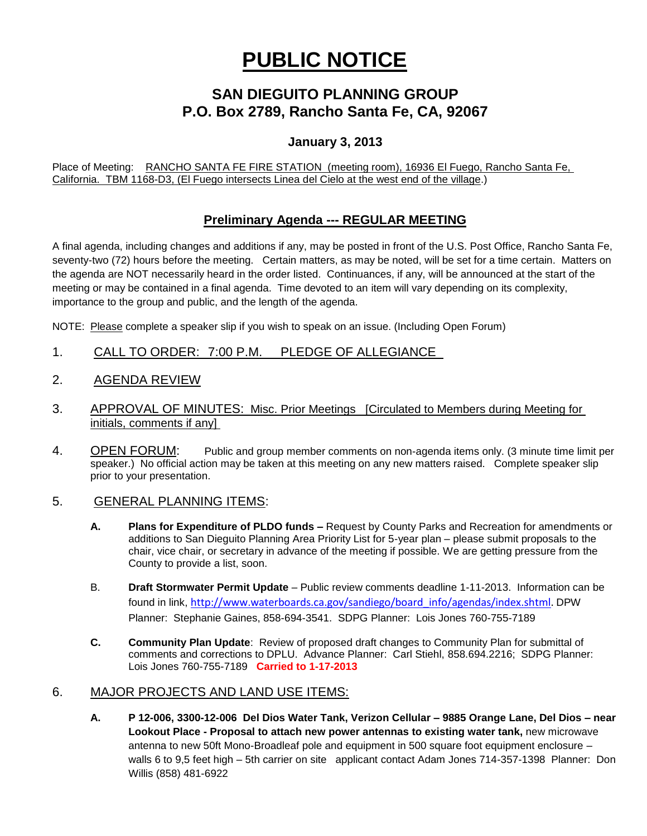# **PUBLIC NOTICE**

## **SAN DIEGUITO PLANNING GROUP P.O. Box 2789, Rancho Santa Fe, CA, 92067**

### **January 3, 2013**

Place of Meeting: RANCHO SANTA FE FIRE STATION (meeting room), 16936 El Fuego, Rancho Santa Fe, California. TBM 1168-D3, (El Fuego intersects Linea del Cielo at the west end of the village.)

## **Preliminary Agenda --- REGULAR MEETING**

A final agenda, including changes and additions if any, may be posted in front of the U.S. Post Office, Rancho Santa Fe, seventy-two (72) hours before the meeting. Certain matters, as may be noted, will be set for a time certain. Matters on the agenda are NOT necessarily heard in the order listed. Continuances, if any, will be announced at the start of the meeting or may be contained in a final agenda. Time devoted to an item will vary depending on its complexity, importance to the group and public, and the length of the agenda.

NOTE: Please complete a speaker slip if you wish to speak on an issue. (Including Open Forum)

- 1. CALL TO ORDER: 7:00 P.M. PLEDGE OF ALLEGIANCE
- 2. AGENDA REVIEW
- 3. APPROVAL OF MINUTES: Misc. Prior Meetings [Circulated to Members during Meeting for initials, comments if any]
- 4. OPEN FORUM: Public and group member comments on non-agenda items only. (3 minute time limit per speaker.) No official action may be taken at this meeting on any new matters raised. Complete speaker slip prior to your presentation.

#### 5. GENERAL PLANNING ITEMS:

- **A. Plans for Expenditure of PLDO funds –** Request by County Parks and Recreation for amendments or additions to San Dieguito Planning Area Priority List for 5-year plan – please submit proposals to the chair, vice chair, or secretary in advance of the meeting if possible. We are getting pressure from the County to provide a list, soon.
- B. **Draft Stormwater Permit Update** Public review comments deadline 1-11-2013. Information can be found in link, [http://www.waterboards.ca.gov/sandiego/board\\_info/agendas/index.shtml.](http://www.waterboards.ca.gov/sandiego/board_info/agendas/index.shtml) DPW Planner: Stephanie Gaines, 858-694-3541. SDPG Planner: Lois Jones 760-755-7189
- **C. Community Plan Update**: Review of proposed draft changes to Community Plan for submittal of comments and corrections to DPLU. Advance Planner: Carl Stiehl, 858.694.2216; SDPG Planner: Lois Jones 760-755-7189 **Carried to 1-17-2013**

#### 6. MAJOR PROJECTS AND LAND USE ITEMS:

**A. P 12-006, 3300-12-006 Del Dios Water Tank, Verizon Cellular – 9885 Orange Lane, Del Dios – near Lookout Place - Proposal to attach new power antennas to existing water tank,** new microwave antenna to new 50ft Mono-Broadleaf pole and equipment in 500 square foot equipment enclosure – walls 6 to 9,5 feet high – 5th carrier on site applicant contact Adam Jones 714-357-1398 Planner: Don Willis (858) 481-6922